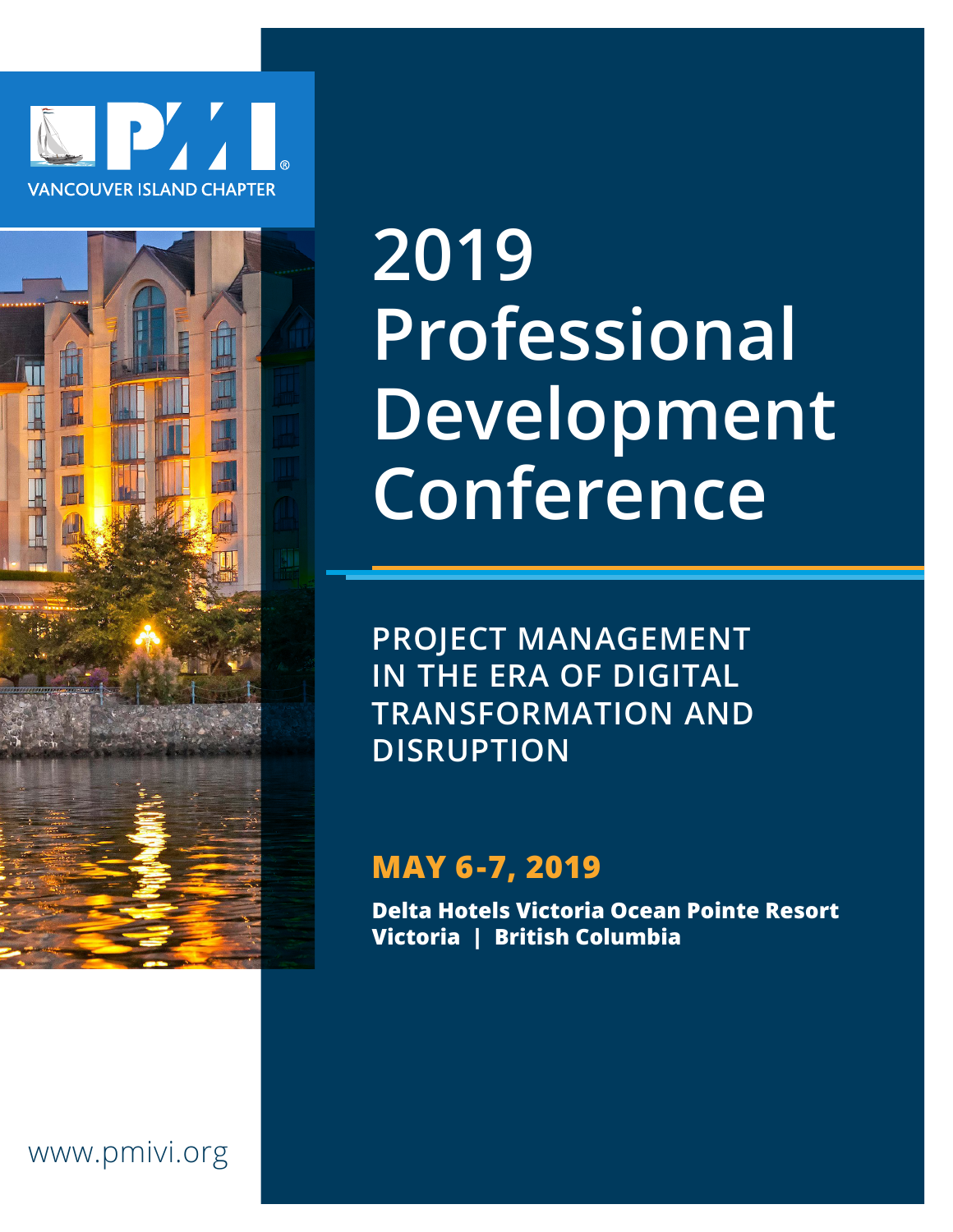



# **2019 Professional Development Conference**

**PROJECT MANAGEMENT IN THE ERA OF DIGITAL TRANSFORMATION AND DISRUPTION**

# **MAY 6-7, 2019**

**Delta Hotels Victoria Ocean Pointe Resort Victoria | British Columbia**

## www.pmivi.org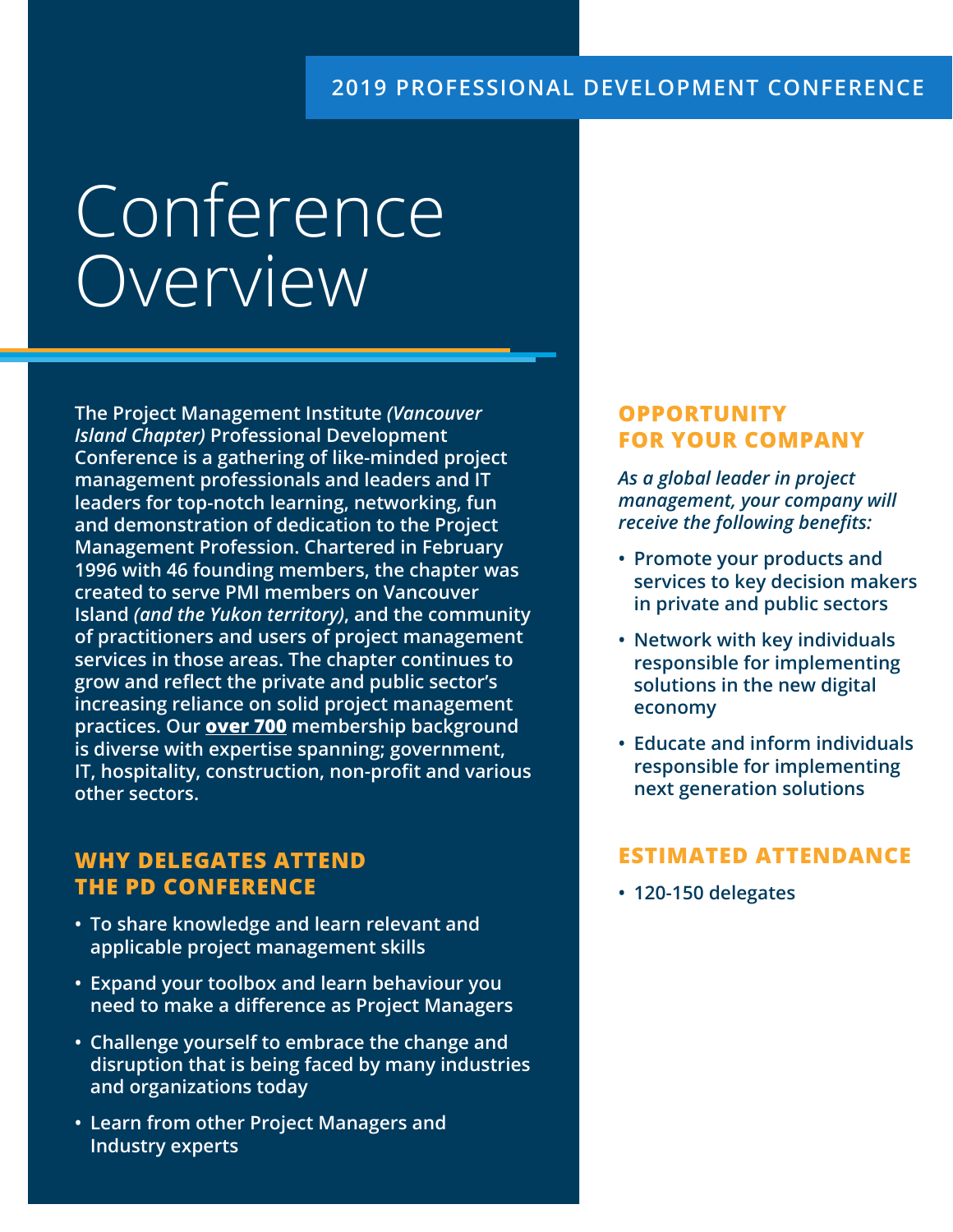#### **2019 PROFESSIONAL DEVELOPMENT CONFERENCE**

# Conference Overview

**The Project Management Institute** *(Vancouver Island Chapter)* **Professional Development Conference is a gathering of like-minded project management professionals and leaders and IT leaders for top-notch learning, networking, fun and demonstration of dedication to the Project Management Profession. Chartered in February 1996 with 46 founding members, the chapter was created to serve PMI members on Vancouver Island** *(and the Yukon territory)***, and the community of practitioners and users of project management services in those areas. The chapter continues to grow and reflect the private and public sector's increasing reliance on solid project management practices. Our over 700 membership background is diverse with expertise spanning; government, IT, hospitality, construction, non-profit and various other sectors.**

#### **WHY DELEGATES ATTEND THE PD CONFERENCE**

- **• To share knowledge and learn relevant and applicable project management skills**
- **• Expand your toolbox and learn behaviour you need to make a difference as Project Managers**
- **• Challenge yourself to embrace the change and disruption that is being faced by many industries and organizations today**
- **• Learn from other Project Managers and Industry experts**

#### **OPPORTUNITY FOR YOUR COMPANY**

*As a global leader in project management, your company will receive the following benefits:* 

- **• Promote your products and services to key decision makers in private and public sectors**
- **• Network with key individuals responsible for implementing solutions in the new digital economy**
- **• Educate and inform individuals responsible for implementing next generation solutions**

#### **ESTIMATED ATTENDANCE**

**• 120-150 delegates**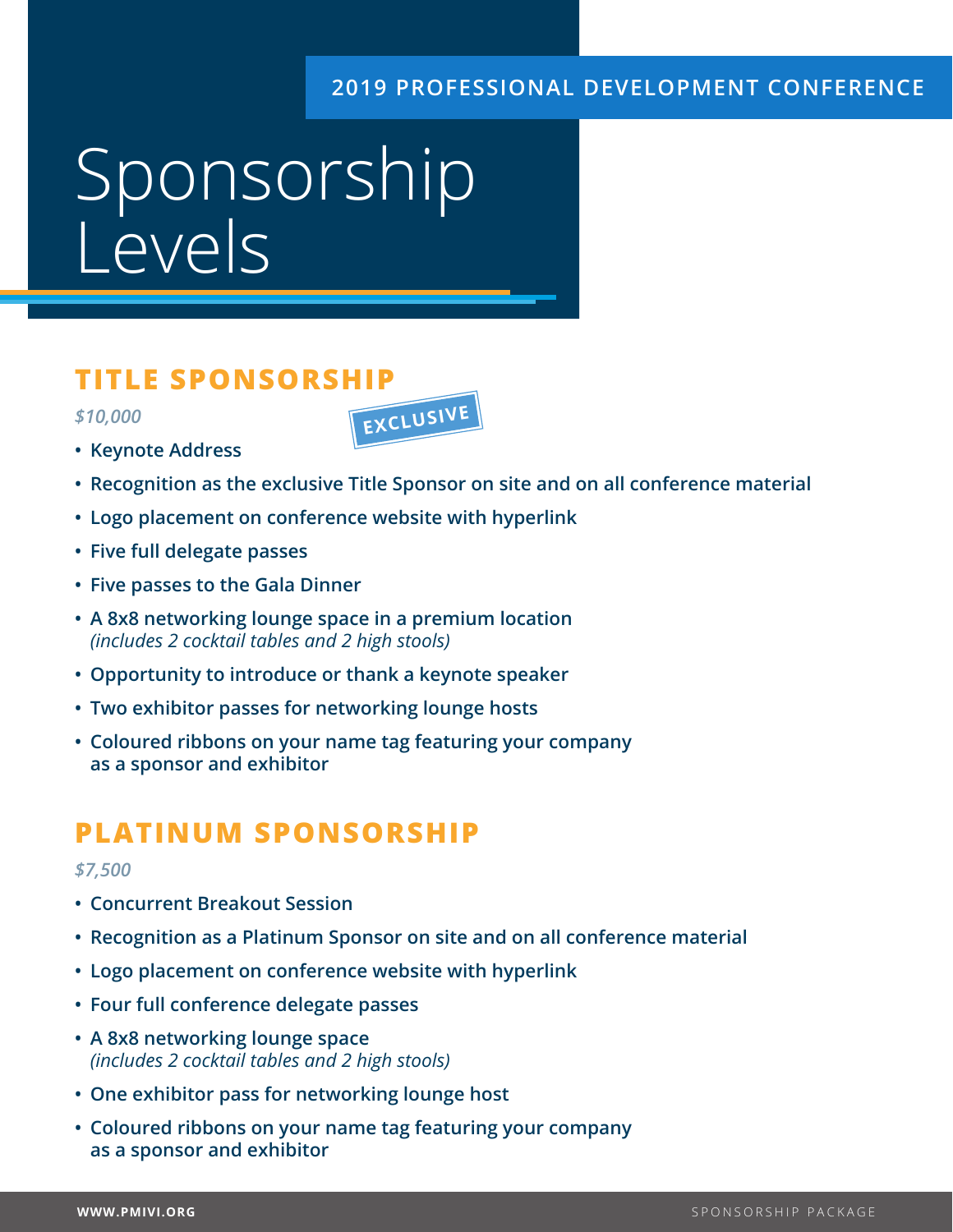#### **2019 PROFESSIONAL DEVELOPMENT CONFERENCE**

# Sponsorship Levels

### **TITLE SPONSORSHIP**

*\$10,000*



- **• Keynote Address**
- **• Recognition as the exclusive Title Sponsor on site and on all conference material**
- **• Logo placement on conference website with hyperlink**
- **• Five full delegate passes**
- **• Five passes to the Gala Dinner**
- **• A 8x8 networking lounge space in a premium location** *(includes 2 cocktail tables and 2 high stools)*
- **• Opportunity to introduce or thank a keynote speaker**
- **• Two exhibitor passes for networking lounge hosts**
- **• Coloured ribbons on your name tag featuring your company as a sponsor and exhibitor**

## **PLATINUM SPONSORSHIP**

#### *\$7,500*

- **• Concurrent Breakout Session**
- **• Recognition as a Platinum Sponsor on site and on all conference material**
- **• Logo placement on conference website with hyperlink**
- **• Four full conference delegate passes**
- **• A 8x8 networking lounge space** *(includes 2 cocktail tables and 2 high stools)*
- **• One exhibitor pass for networking lounge host**
- **• Coloured ribbons on your name tag featuring your company as a sponsor and exhibitor**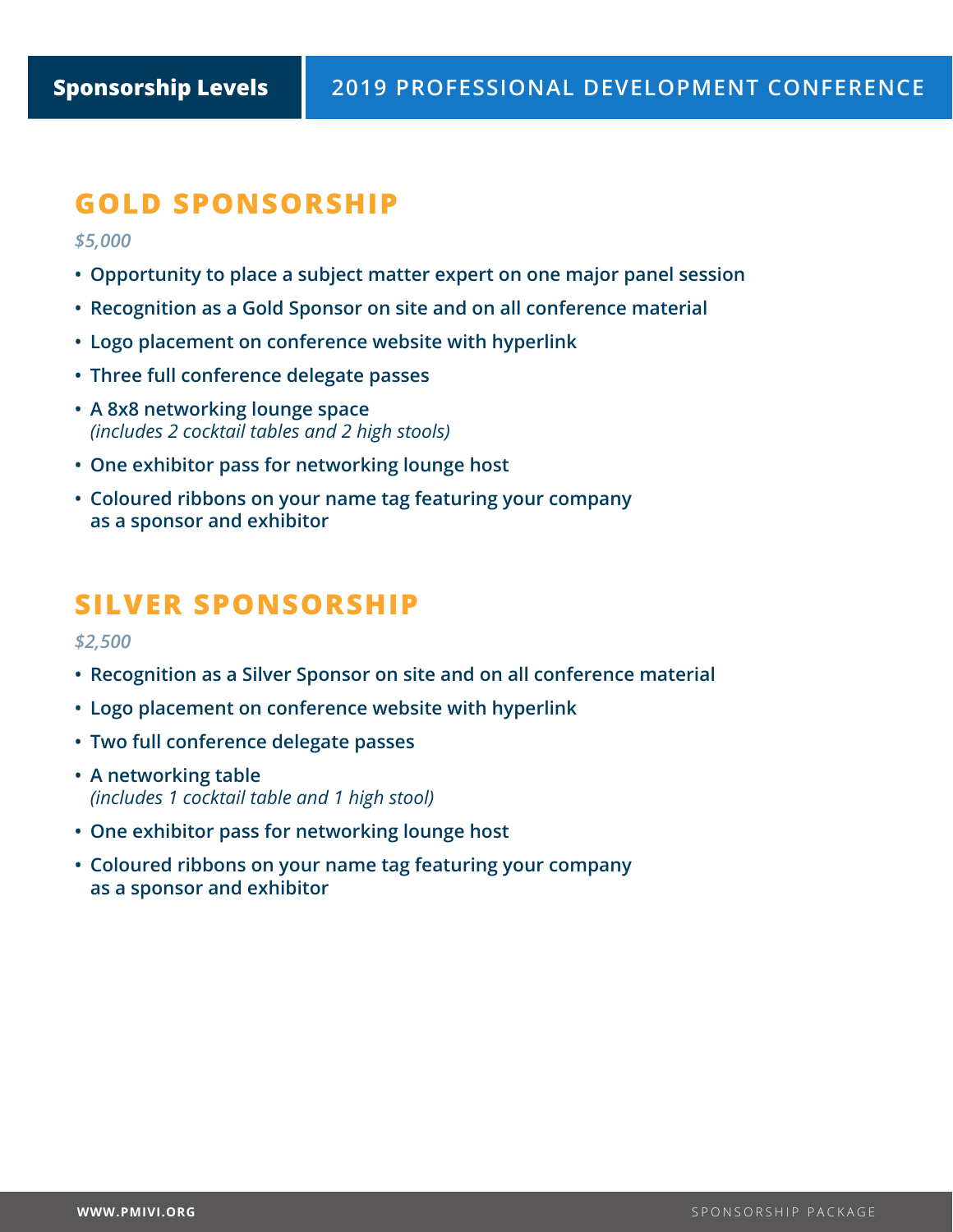## **GOLD SPONSORSHIP**

*\$5,000*

- **• Opportunity to place a subject matter expert on one major panel session**
- **• Recognition as a Gold Sponsor on site and on all conference material**
- **• Logo placement on conference website with hyperlink**
- **• Three full conference delegate passes**
- **• A 8x8 networking lounge space** *(includes 2 cocktail tables and 2 high stools)*
- **• One exhibitor pass for networking lounge host**
- **• Coloured ribbons on your name tag featuring your company as a sponsor and exhibitor**

## **SILVER SPONSORSHIP**

*\$2,500*

- **• Recognition as a Silver Sponsor on site and on all conference material**
- **• Logo placement on conference website with hyperlink**
- **• Two full conference delegate passes**
- **• A networking table** *(includes 1 cocktail table and 1 high stool)*
- **• One exhibitor pass for networking lounge host**
- **• Coloured ribbons on your name tag featuring your company as a sponsor and exhibitor**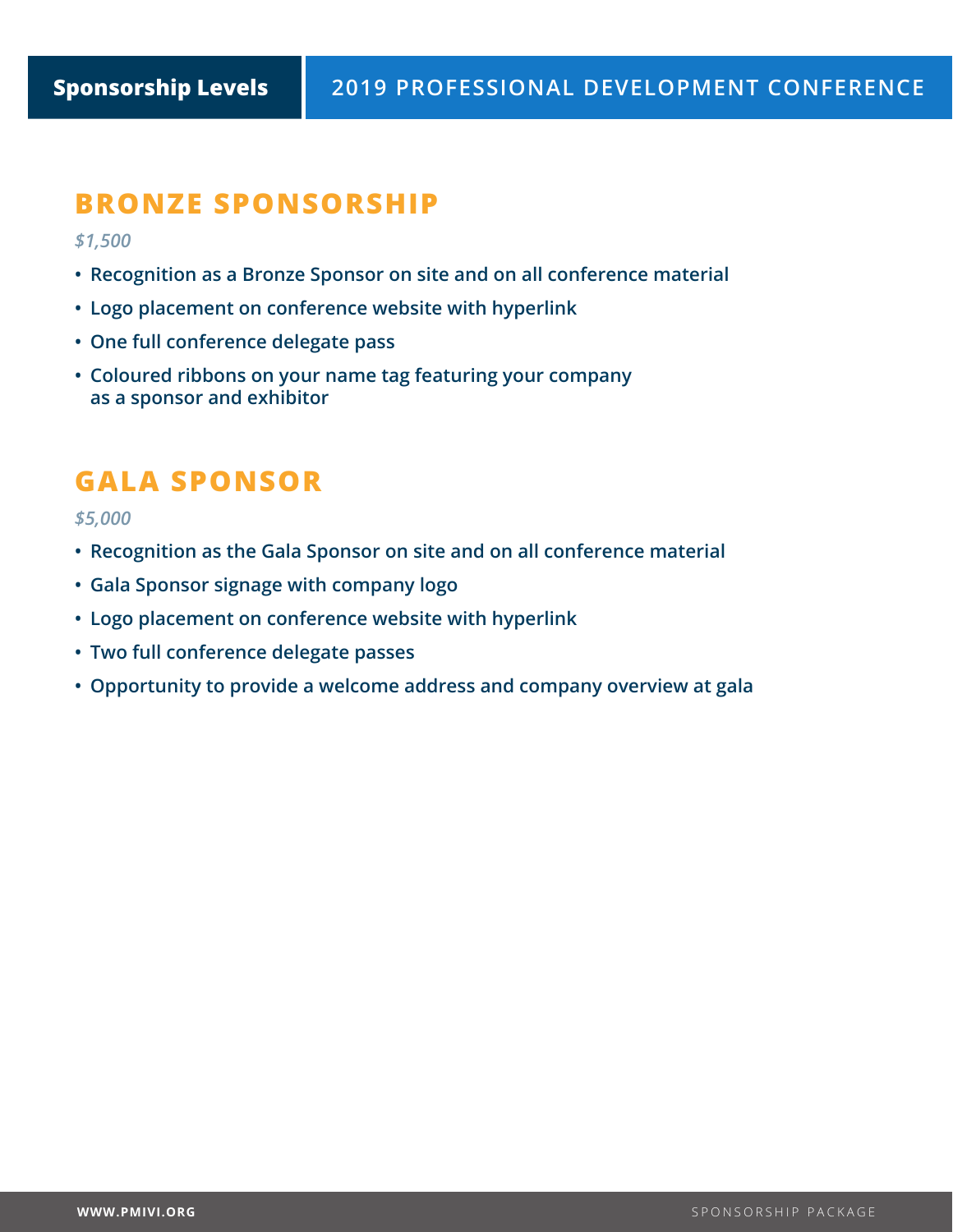## **BRONZE SPONSORSHIP**

*\$1,500*

- **• Recognition as a Bronze Sponsor on site and on all conference material**
- **• Logo placement on conference website with hyperlink**
- **• One full conference delegate pass**
- **• Coloured ribbons on your name tag featuring your company as a sponsor and exhibitor**

## **GALA SPONSOR**

*\$5,000*

- **• Recognition as the Gala Sponsor on site and on all conference material**
- **• Gala Sponsor signage with company logo**
- **• Logo placement on conference website with hyperlink**
- **• Two full conference delegate passes**
- **• Opportunity to provide a welcome address and company overview at gala**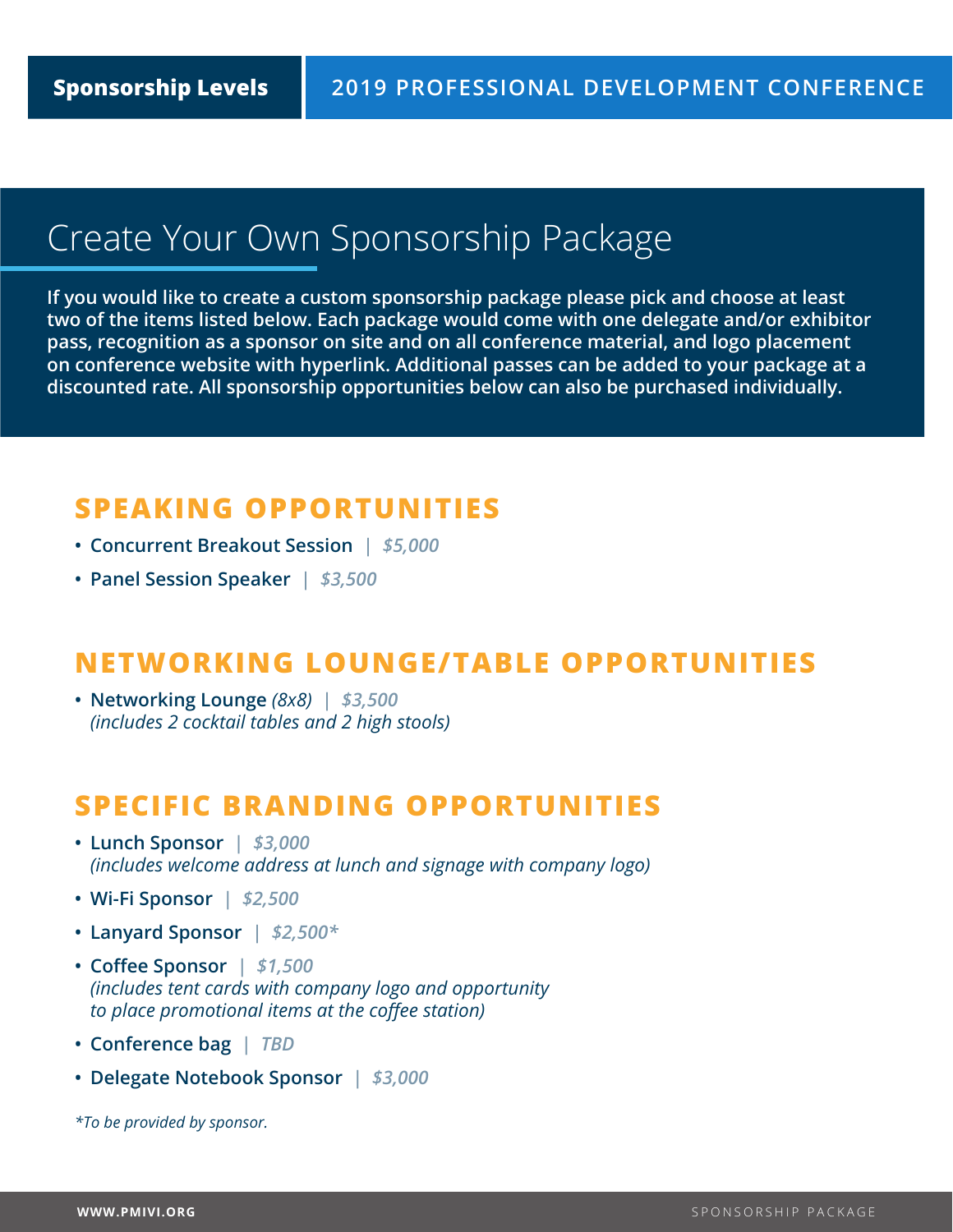# Create Your Own Sponsorship Package

**If you would like to create a custom sponsorship package please pick and choose at least two of the items listed below. Each package would come with one delegate and/or exhibitor pass, recognition as a sponsor on site and on all conference material, and logo placement on conference website with hyperlink. Additional passes can be added to your package at a discounted rate. All sponsorship opportunities below can also be purchased individually.** 

## **SPEAKING OPPORTUNITIES**

- **• Concurrent Breakout Session** *| \$5,000*
- **• Panel Session Speaker** *| \$3,500*

### **NETWORKING LOUNGE/TABLE OPPORTUNITIES**

**• Networking Lounge** *(8x8) | \$3,500 (includes 2 cocktail tables and 2 high stools)*

### **SPECIFIC BRANDING OPPORTUNITIES**

- **• Lunch Sponsor** *| \$3,000 (includes welcome address at lunch and signage with company logo)*
- **• Wi-Fi Sponsor** *| \$2,500*
- **• Lanyard Sponsor** *| \$2,500\**
- **• Coffee Sponsor** *| \$1,500 (includes tent cards with company logo and opportunity to place promotional items at the coffee station)*
- **• Conference bag** *| TBD*
- **• Delegate Notebook Sponsor** *| \$3,000*

*\*To be provided by sponsor.*